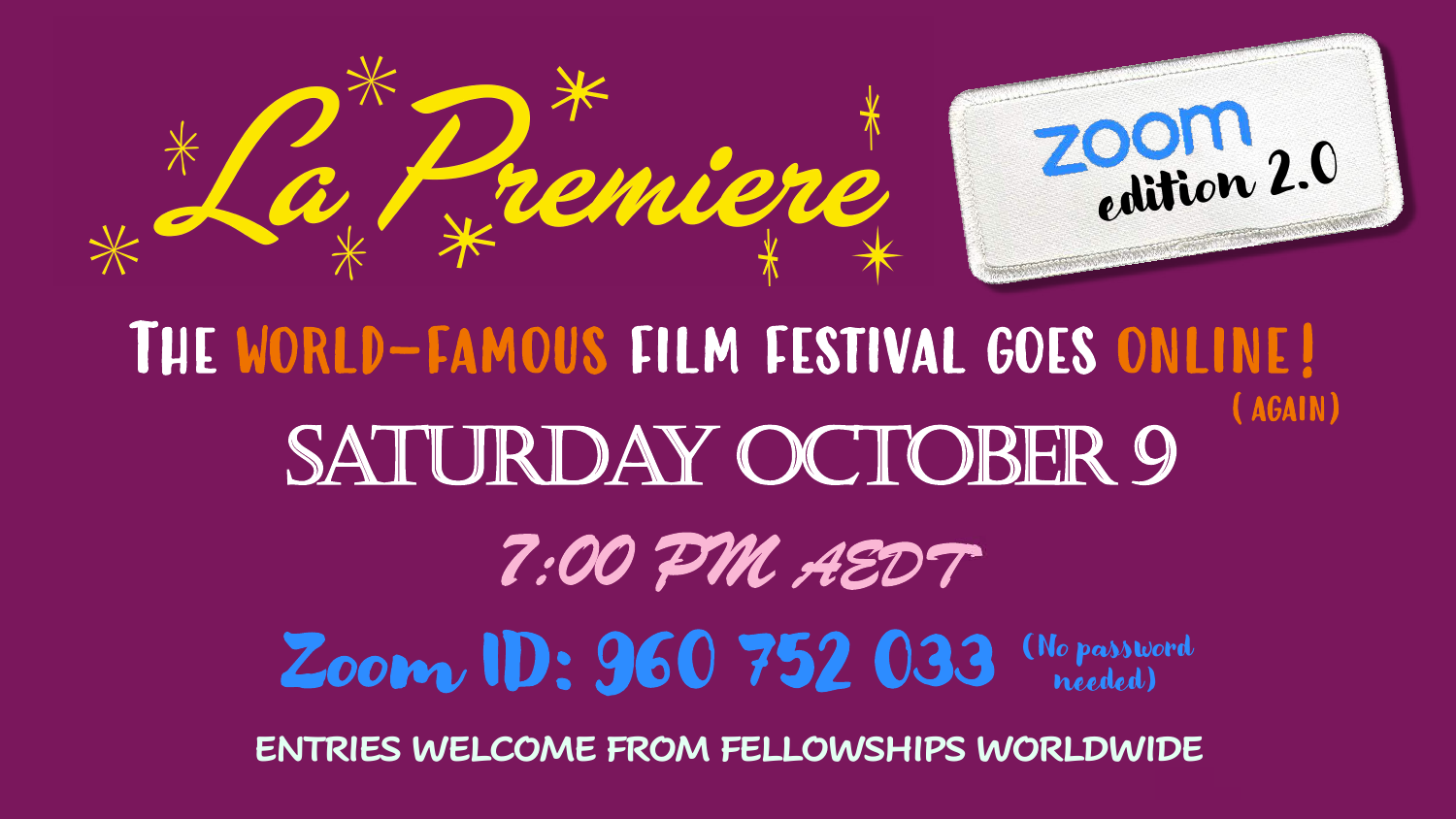

The world-famous film festival goes online! Zoom ID: 960 752 033 SATURDAY OCTOBER 9 (No password needed) (again) *7:00 PM AEDT*

**ENTRIES WELCOME FROM FELLOWSHIPS WORLDWIDE**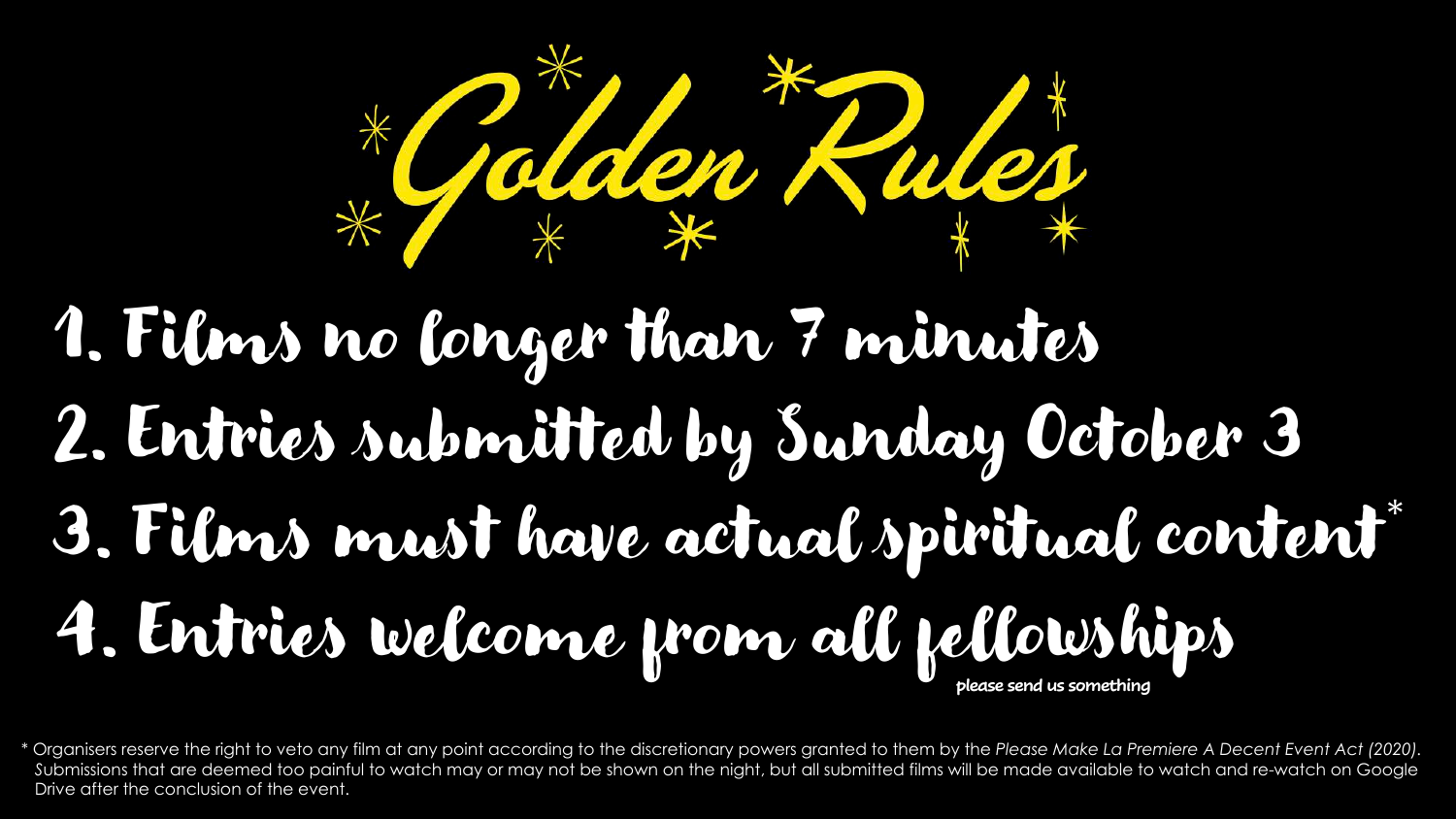

#### 1. Films no longer than 7 minutes 2. Entries submitted by Sunday October 3 3. Films must have actual spiritual content 4. Entries welcome from all fellowships \* **please send us something**

\* Organisers reserve the right to veto any film at any point according to the discretionary powers granted to them by the *Please Make La Premiere A Decent Event Act (2020).*  Submissions that are deemed too painful to watch may or may not be shown on the night, but all submitted films will be made available to watch and re-watch on Google Drive after the conclusion of the event.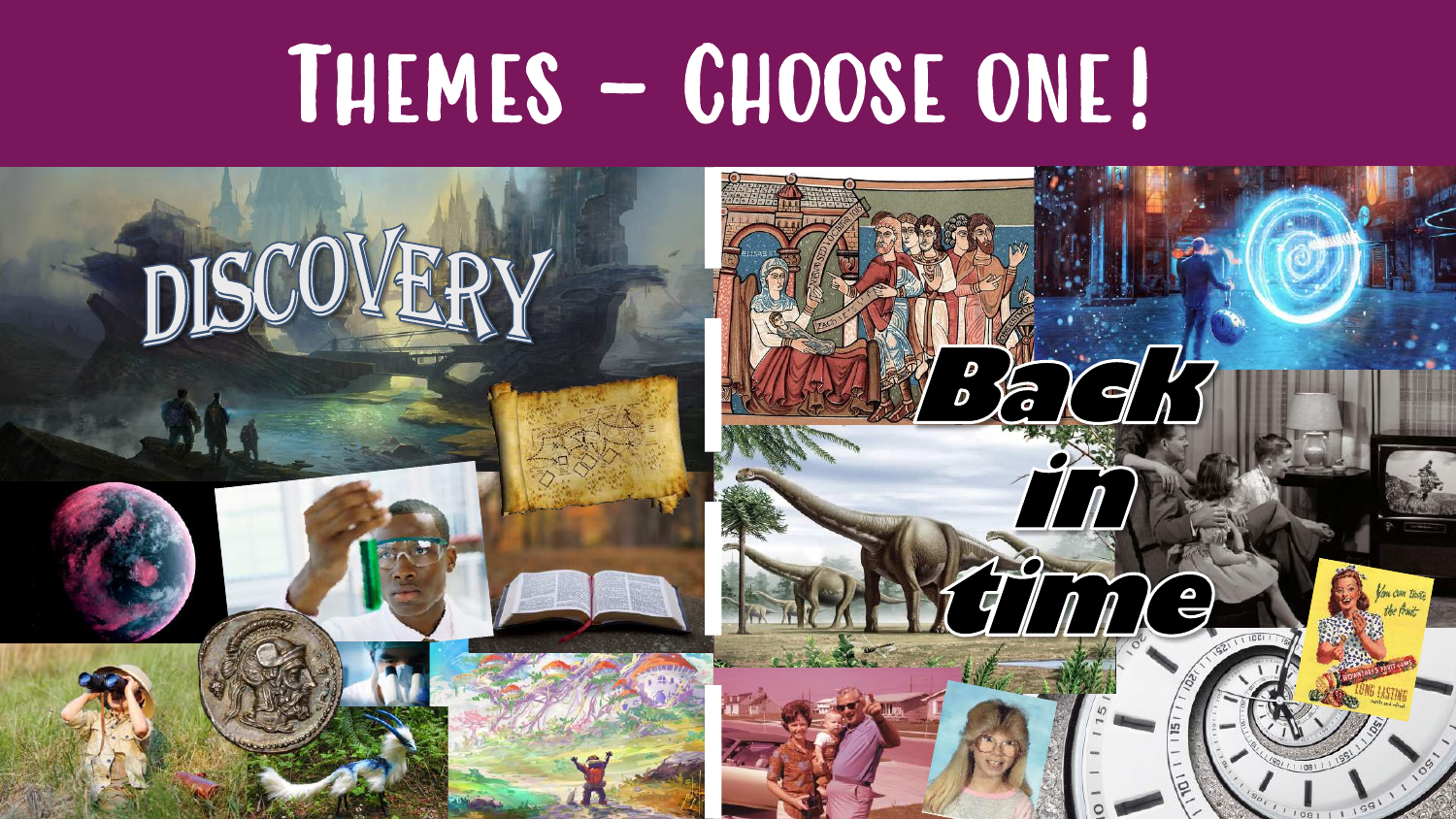# Themes – Choose one!

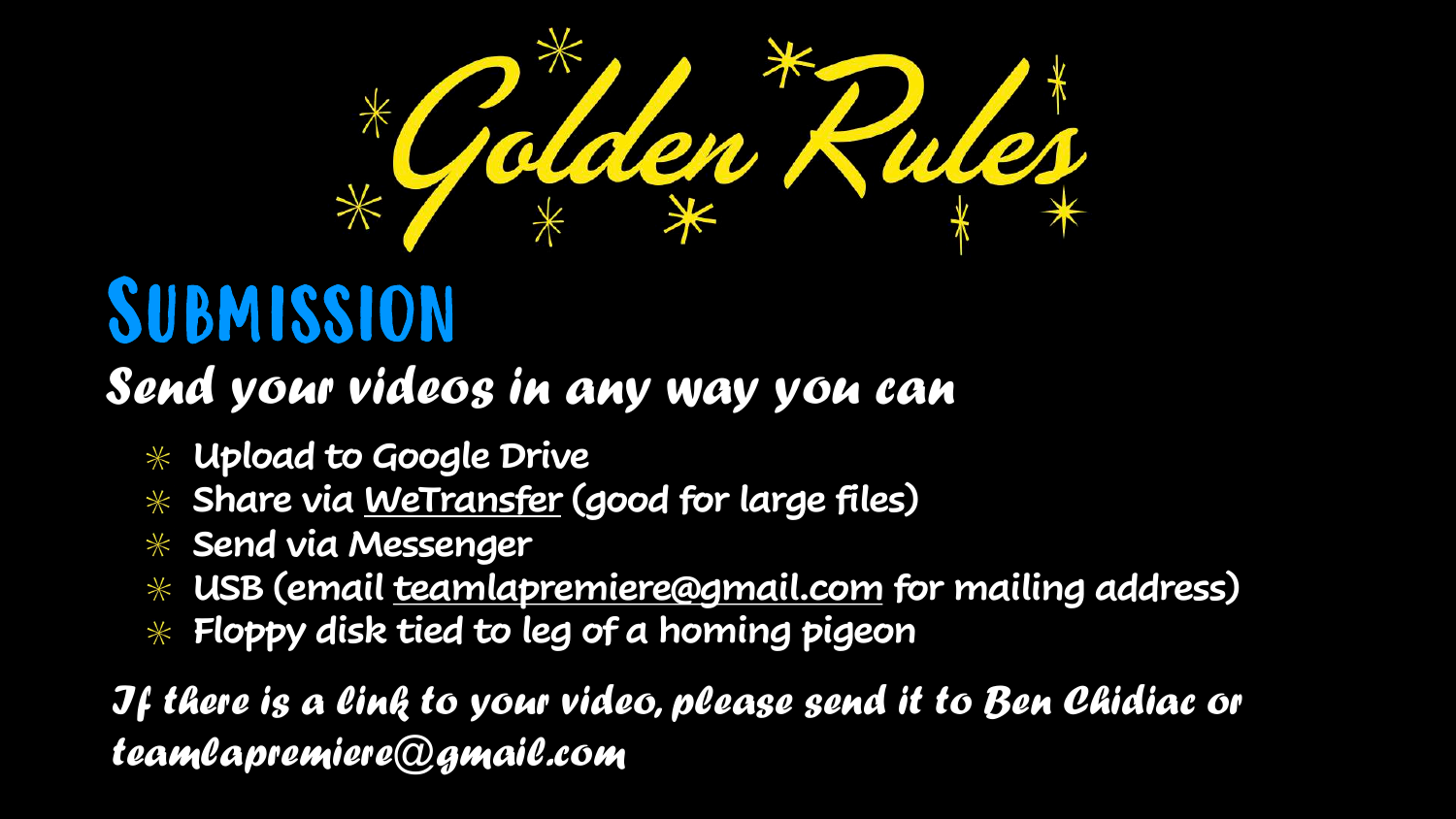

### Submission

#### Send your videos in any way you can

- **Upload to Google Drive**
- **Share via [WeTransfer](https://wetransfer.com/) (good for large files)**
- **Send via Messenger**
- **USB (email [teamlapremiere@gmail.com](mailto:teamlapremiere@gmail.com) for mailing address)**
- **Floppy disk tied to leg of a homing pigeon**

If there is a link to your video, please send it to Ben Chidiac or teamlapremiere@gmail.com